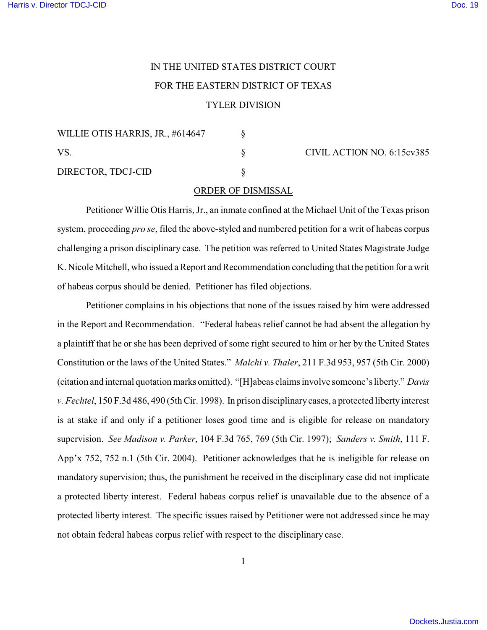## IN THE UNITED STATES DISTRICT COURT FOR THE EASTERN DISTRICT OF TEXAS

## TYLER DIVISION

| WILLIE OTIS HARRIS, JR., #614647<br>VS.<br>DIRECTOR, TDCJ-CID |  |
|---------------------------------------------------------------|--|
|                                                               |  |
|                                                               |  |

§ CIVIL ACTION NO. 6:15cv385

## ORDER OF DISMISSAL

Petitioner Willie Otis Harris, Jr., an inmate confined at the Michael Unit of the Texas prison system, proceeding *pro se*, filed the above-styled and numbered petition for a writ of habeas corpus challenging a prison disciplinary case. The petition was referred to United States Magistrate Judge K. Nicole Mitchell, who issued a Report and Recommendation concluding that the petition for a writ of habeas corpus should be denied. Petitioner has filed objections.

Petitioner complains in his objections that none of the issues raised by him were addressed in the Report and Recommendation. "Federal habeas relief cannot be had absent the allegation by a plaintiff that he or she has been deprived of some right secured to him or her by the United States Constitution or the laws of the United States." *Malchi v. Thaler*, 211 F.3d 953, 957 (5th Cir. 2000) (citation and internal quotation marks omitted). "[H]abeas claims involve someone's liberty." *Davis v. Fechtel*, 150 F.3d 486, 490 (5th Cir. 1998). In prison disciplinary cases, a protected liberty interest is at stake if and only if a petitioner loses good time and is eligible for release on mandatory supervision. *See Madison v. Parker*, 104 F.3d 765, 769 (5th Cir. 1997); *Sanders v. Smith*, 111 F. App'x 752, 752 n.1 (5th Cir. 2004). Petitioner acknowledges that he is ineligible for release on mandatory supervision; thus, the punishment he received in the disciplinary case did not implicate a protected liberty interest. Federal habeas corpus relief is unavailable due to the absence of a protected liberty interest. The specific issues raised by Petitioner were not addressed since he may not obtain federal habeas corpus relief with respect to the disciplinary case.